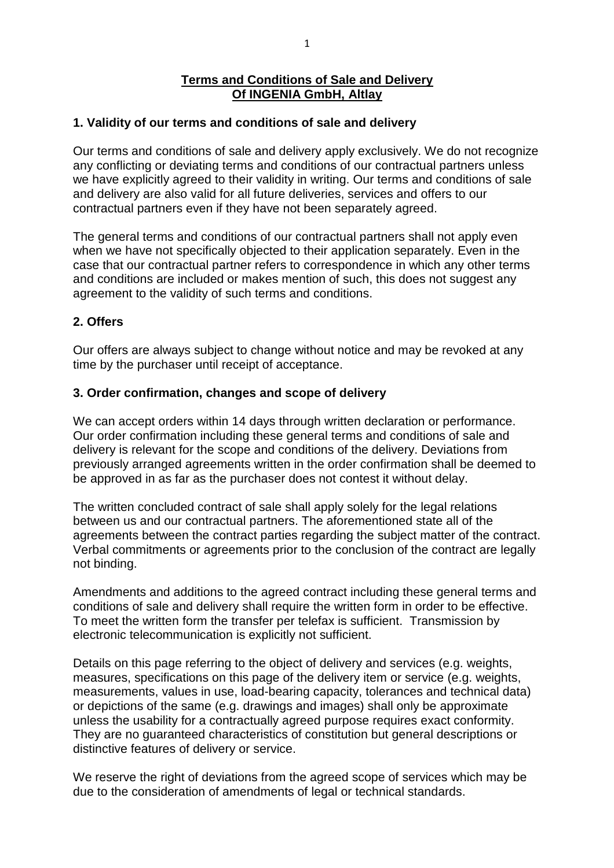### **Terms and Conditions of Sale and Delivery Of INGENIA GmbH, Altlay**

#### **1. Validity of our terms and conditions of sale and delivery**

Our terms and conditions of sale and delivery apply exclusively. We do not recognize any conflicting or deviating terms and conditions of our contractual partners unless we have explicitly agreed to their validity in writing. Our terms and conditions of sale and delivery are also valid for all future deliveries, services and offers to our contractual partners even if they have not been separately agreed.

The general terms and conditions of our contractual partners shall not apply even when we have not specifically objected to their application separately. Even in the case that our contractual partner refers to correspondence in which any other terms and conditions are included or makes mention of such, this does not suggest any agreement to the validity of such terms and conditions.

#### **2. Offers**

Our offers are always subject to change without notice and may be revoked at any time by the purchaser until receipt of acceptance.

#### **3. Order confirmation, changes and scope of delivery**

We can accept orders within 14 days through written declaration or performance. Our order confirmation including these general terms and conditions of sale and delivery is relevant for the scope and conditions of the delivery. Deviations from previously arranged agreements written in the order confirmation shall be deemed to be approved in as far as the purchaser does not contest it without delay.

The written concluded contract of sale shall apply solely for the legal relations between us and our contractual partners. The aforementioned state all of the agreements between the contract parties regarding the subject matter of the contract. Verbal commitments or agreements prior to the conclusion of the contract are legally not binding.

Amendments and additions to the agreed contract including these general terms and conditions of sale and delivery shall require the written form in order to be effective. To meet the written form the transfer per telefax is sufficient. Transmission by electronic telecommunication is explicitly not sufficient.

Details on this page referring to the object of delivery and services (e.g. weights, measures, specifications on this page of the delivery item or service (e.g. weights, measurements, values in use, load-bearing capacity, tolerances and technical data) or depictions of the same (e.g. drawings and images) shall only be approximate unless the usability for a contractually agreed purpose requires exact conformity. They are no guaranteed characteristics of constitution but general descriptions or distinctive features of delivery or service.

We reserve the right of deviations from the agreed scope of services which may be due to the consideration of amendments of legal or technical standards.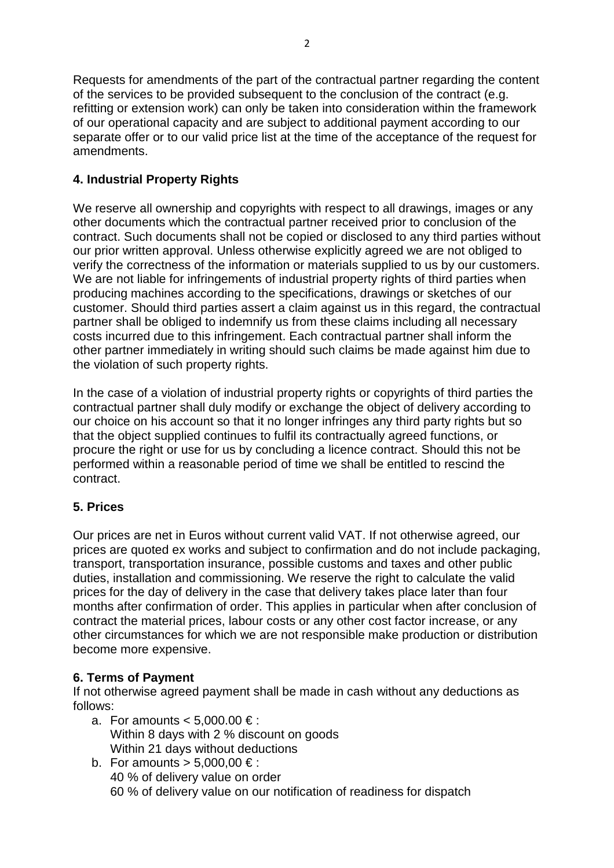Requests for amendments of the part of the contractual partner regarding the content of the services to be provided subsequent to the conclusion of the contract (e.g. refitting or extension work) can only be taken into consideration within the framework of our operational capacity and are subject to additional payment according to our separate offer or to our valid price list at the time of the acceptance of the request for amendments.

# **4. Industrial Property Rights**

We reserve all ownership and copyrights with respect to all drawings, images or any other documents which the contractual partner received prior to conclusion of the contract. Such documents shall not be copied or disclosed to any third parties without our prior written approval. Unless otherwise explicitly agreed we are not obliged to verify the correctness of the information or materials supplied to us by our customers. We are not liable for infringements of industrial property rights of third parties when producing machines according to the specifications, drawings or sketches of our customer. Should third parties assert a claim against us in this regard, the contractual partner shall be obliged to indemnify us from these claims including all necessary costs incurred due to this infringement. Each contractual partner shall inform the other partner immediately in writing should such claims be made against him due to the violation of such property rights.

In the case of a violation of industrial property rights or copyrights of third parties the contractual partner shall duly modify or exchange the object of delivery according to our choice on his account so that it no longer infringes any third party rights but so that the object supplied continues to fulfil its contractually agreed functions, or procure the right or use for us by concluding a licence contract. Should this not be performed within a reasonable period of time we shall be entitled to rescind the contract.

# **5. Prices**

Our prices are net in Euros without current valid VAT. If not otherwise agreed, our prices are quoted ex works and subject to confirmation and do not include packaging, transport, transportation insurance, possible customs and taxes and other public duties, installation and commissioning. We reserve the right to calculate the valid prices for the day of delivery in the case that delivery takes place later than four months after confirmation of order. This applies in particular when after conclusion of contract the material prices, labour costs or any other cost factor increase, or any other circumstances for which we are not responsible make production or distribution become more expensive.

## **6. Terms of Payment**

If not otherwise agreed payment shall be made in cash without any deductions as follows:

- a. For amounts  $< 5.000.00 \in$ : Within 8 days with 2 % discount on goods Within 21 days without deductions
- b. For amounts  $> 5,000.00 \in$ : 40 % of delivery value on order 60 % of delivery value on our notification of readiness for dispatch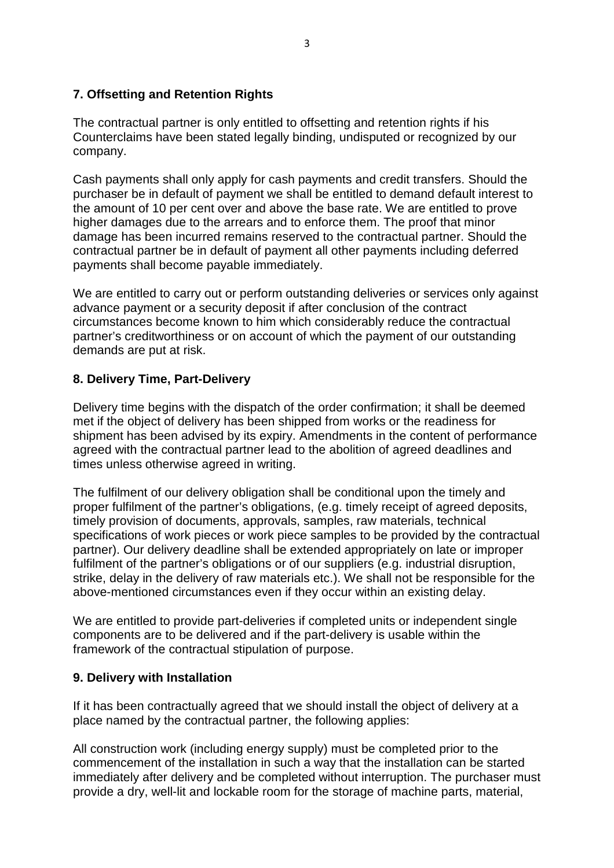### **7. Offsetting and Retention Rights**

The contractual partner is only entitled to offsetting and retention rights if his Counterclaims have been stated legally binding, undisputed or recognized by our company.

Cash payments shall only apply for cash payments and credit transfers. Should the purchaser be in default of payment we shall be entitled to demand default interest to the amount of 10 per cent over and above the base rate. We are entitled to prove higher damages due to the arrears and to enforce them. The proof that minor damage has been incurred remains reserved to the contractual partner. Should the contractual partner be in default of payment all other payments including deferred payments shall become payable immediately.

We are entitled to carry out or perform outstanding deliveries or services only against advance payment or a security deposit if after conclusion of the contract circumstances become known to him which considerably reduce the contractual partner's creditworthiness or on account of which the payment of our outstanding demands are put at risk.

### **8. Delivery Time, Part-Delivery**

Delivery time begins with the dispatch of the order confirmation; it shall be deemed met if the object of delivery has been shipped from works or the readiness for shipment has been advised by its expiry. Amendments in the content of performance agreed with the contractual partner lead to the abolition of agreed deadlines and times unless otherwise agreed in writing.

The fulfilment of our delivery obligation shall be conditional upon the timely and proper fulfilment of the partner's obligations, (e.g. timely receipt of agreed deposits, timely provision of documents, approvals, samples, raw materials, technical specifications of work pieces or work piece samples to be provided by the contractual partner). Our delivery deadline shall be extended appropriately on late or improper fulfilment of the partner's obligations or of our suppliers (e.g. industrial disruption, strike, delay in the delivery of raw materials etc.). We shall not be responsible for the above-mentioned circumstances even if they occur within an existing delay.

We are entitled to provide part-deliveries if completed units or independent single components are to be delivered and if the part-delivery is usable within the framework of the contractual stipulation of purpose.

### **9. Delivery with Installation**

If it has been contractually agreed that we should install the object of delivery at a place named by the contractual partner, the following applies:

All construction work (including energy supply) must be completed prior to the commencement of the installation in such a way that the installation can be started immediately after delivery and be completed without interruption. The purchaser must provide a dry, well-lit and lockable room for the storage of machine parts, material,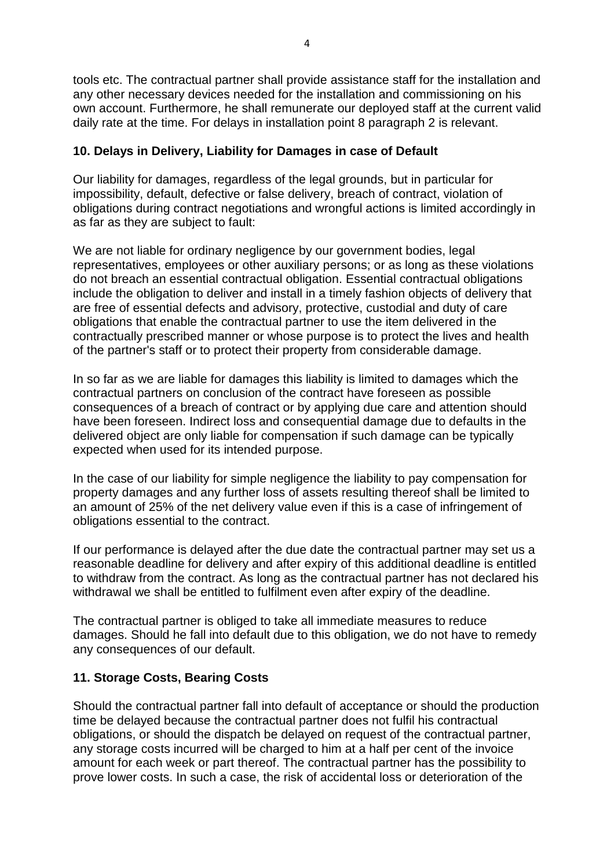tools etc. The contractual partner shall provide assistance staff for the installation and any other necessary devices needed for the installation and commissioning on his own account. Furthermore, he shall remunerate our deployed staff at the current valid daily rate at the time. For delays in installation point 8 paragraph 2 is relevant.

# **10. Delays in Delivery, Liability for Damages in case of Default**

Our liability for damages, regardless of the legal grounds, but in particular for impossibility, default, defective or false delivery, breach of contract, violation of obligations during contract negotiations and wrongful actions is limited accordingly in as far as they are subject to fault:

We are not liable for ordinary negligence by our government bodies, legal representatives, employees or other auxiliary persons; or as long as these violations do not breach an essential contractual obligation. Essential contractual obligations include the obligation to deliver and install in a timely fashion objects of delivery that are free of essential defects and advisory, protective, custodial and duty of care obligations that enable the contractual partner to use the item delivered in the contractually prescribed manner or whose purpose is to protect the lives and health of the partner's staff or to protect their property from considerable damage.

In so far as we are liable for damages this liability is limited to damages which the contractual partners on conclusion of the contract have foreseen as possible consequences of a breach of contract or by applying due care and attention should have been foreseen. Indirect loss and consequential damage due to defaults in the delivered object are only liable for compensation if such damage can be typically expected when used for its intended purpose.

In the case of our liability for simple negligence the liability to pay compensation for property damages and any further loss of assets resulting thereof shall be limited to an amount of 25% of the net delivery value even if this is a case of infringement of obligations essential to the contract.

If our performance is delayed after the due date the contractual partner may set us a reasonable deadline for delivery and after expiry of this additional deadline is entitled to withdraw from the contract. As long as the contractual partner has not declared his withdrawal we shall be entitled to fulfilment even after expiry of the deadline.

The contractual partner is obliged to take all immediate measures to reduce damages. Should he fall into default due to this obligation, we do not have to remedy any consequences of our default.

## **11. Storage Costs, Bearing Costs**

Should the contractual partner fall into default of acceptance or should the production time be delayed because the contractual partner does not fulfil his contractual obligations, or should the dispatch be delayed on request of the contractual partner, any storage costs incurred will be charged to him at a half per cent of the invoice amount for each week or part thereof. The contractual partner has the possibility to prove lower costs. In such a case, the risk of accidental loss or deterioration of the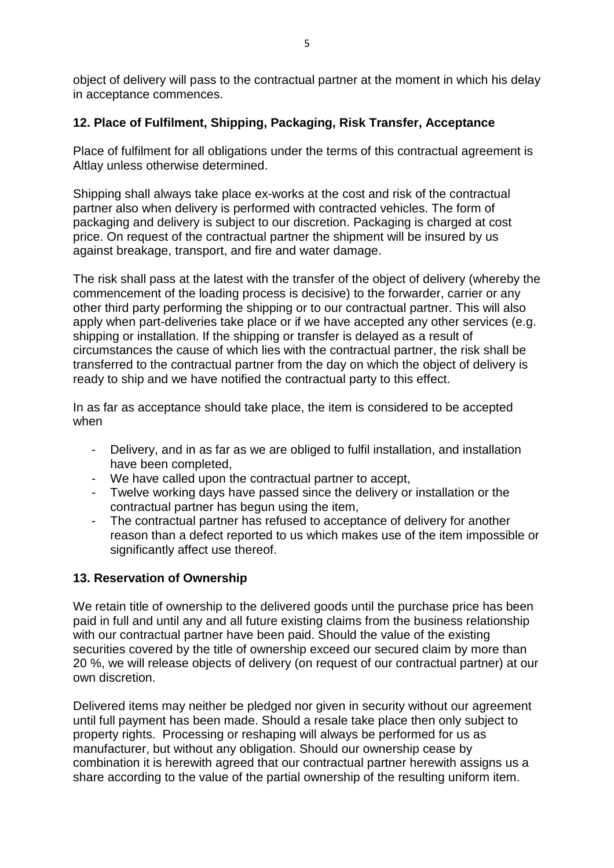object of delivery will pass to the contractual partner at the moment in which his delay in acceptance commences.

# **12. Place of Fulfilment, Shipping, Packaging, Risk Transfer, Acceptance**

Place of fulfilment for all obligations under the terms of this contractual agreement is Altlay unless otherwise determined.

Shipping shall always take place ex-works at the cost and risk of the contractual partner also when delivery is performed with contracted vehicles. The form of packaging and delivery is subject to our discretion. Packaging is charged at cost price. On request of the contractual partner the shipment will be insured by us against breakage, transport, and fire and water damage.

The risk shall pass at the latest with the transfer of the object of delivery (whereby the commencement of the loading process is decisive) to the forwarder, carrier or any other third party performing the shipping or to our contractual partner. This will also apply when part-deliveries take place or if we have accepted any other services (e.g. shipping or installation. If the shipping or transfer is delayed as a result of circumstances the cause of which lies with the contractual partner, the risk shall be transferred to the contractual partner from the day on which the object of delivery is ready to ship and we have notified the contractual party to this effect.

In as far as acceptance should take place, the item is considered to be accepted when

- Delivery, and in as far as we are obliged to fulfil installation, and installation have been completed,
- We have called upon the contractual partner to accept,
- Twelve working days have passed since the delivery or installation or the contractual partner has begun using the item,
- The contractual partner has refused to acceptance of delivery for another reason than a defect reported to us which makes use of the item impossible or significantly affect use thereof.

# **13. Reservation of Ownership**

We retain title of ownership to the delivered goods until the purchase price has been paid in full and until any and all future existing claims from the business relationship with our contractual partner have been paid. Should the value of the existing securities covered by the title of ownership exceed our secured claim by more than 20 %, we will release objects of delivery (on request of our contractual partner) at our own discretion.

Delivered items may neither be pledged nor given in security without our agreement until full payment has been made. Should a resale take place then only subject to property rights. Processing or reshaping will always be performed for us as manufacturer, but without any obligation. Should our ownership cease by combination it is herewith agreed that our contractual partner herewith assigns us a share according to the value of the partial ownership of the resulting uniform item.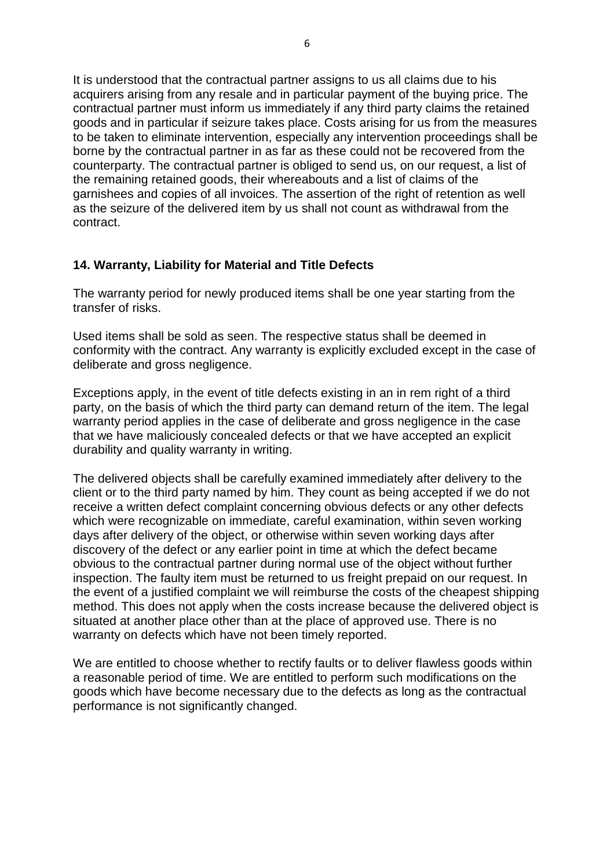It is understood that the contractual partner assigns to us all claims due to his acquirers arising from any resale and in particular payment of the buying price. The contractual partner must inform us immediately if any third party claims the retained goods and in particular if seizure takes place. Costs arising for us from the measures to be taken to eliminate intervention, especially any intervention proceedings shall be borne by the contractual partner in as far as these could not be recovered from the counterparty. The contractual partner is obliged to send us, on our request, a list of the remaining retained goods, their whereabouts and a list of claims of the garnishees and copies of all invoices. The assertion of the right of retention as well as the seizure of the delivered item by us shall not count as withdrawal from the contract.

### **14. Warranty, Liability for Material and Title Defects**

The warranty period for newly produced items shall be one year starting from the transfer of risks.

Used items shall be sold as seen. The respective status shall be deemed in conformity with the contract. Any warranty is explicitly excluded except in the case of deliberate and gross negligence.

Exceptions apply, in the event of title defects existing in an in rem right of a third party, on the basis of which the third party can demand return of the item. The legal warranty period applies in the case of deliberate and gross negligence in the case that we have maliciously concealed defects or that we have accepted an explicit durability and quality warranty in writing.

The delivered objects shall be carefully examined immediately after delivery to the client or to the third party named by him. They count as being accepted if we do not receive a written defect complaint concerning obvious defects or any other defects which were recognizable on immediate, careful examination, within seven working days after delivery of the object, or otherwise within seven working days after discovery of the defect or any earlier point in time at which the defect became obvious to the contractual partner during normal use of the object without further inspection. The faulty item must be returned to us freight prepaid on our request. In the event of a justified complaint we will reimburse the costs of the cheapest shipping method. This does not apply when the costs increase because the delivered object is situated at another place other than at the place of approved use. There is no warranty on defects which have not been timely reported.

We are entitled to choose whether to rectify faults or to deliver flawless goods within a reasonable period of time. We are entitled to perform such modifications on the goods which have become necessary due to the defects as long as the contractual performance is not significantly changed.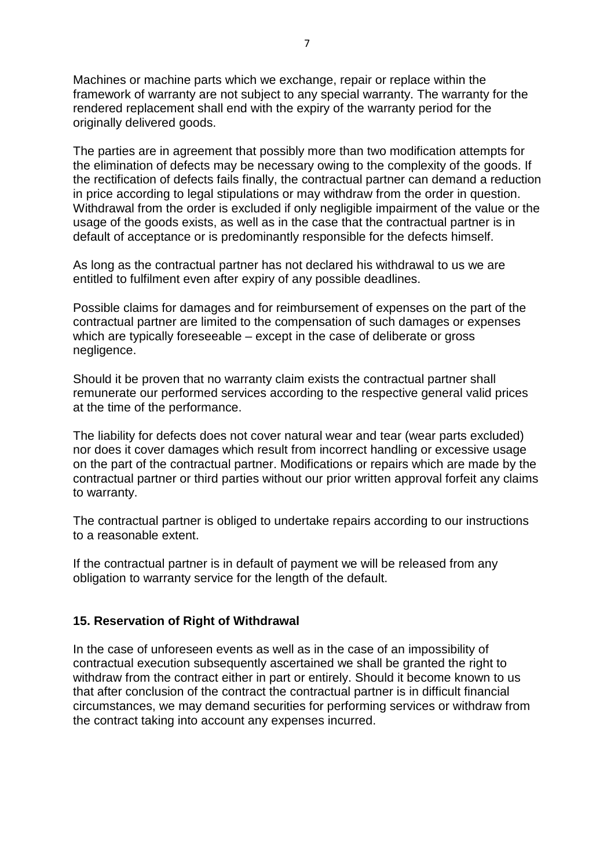Machines or machine parts which we exchange, repair or replace within the framework of warranty are not subject to any special warranty. The warranty for the rendered replacement shall end with the expiry of the warranty period for the originally delivered goods.

The parties are in agreement that possibly more than two modification attempts for the elimination of defects may be necessary owing to the complexity of the goods. If the rectification of defects fails finally, the contractual partner can demand a reduction in price according to legal stipulations or may withdraw from the order in question. Withdrawal from the order is excluded if only negligible impairment of the value or the usage of the goods exists, as well as in the case that the contractual partner is in default of acceptance or is predominantly responsible for the defects himself.

As long as the contractual partner has not declared his withdrawal to us we are entitled to fulfilment even after expiry of any possible deadlines.

Possible claims for damages and for reimbursement of expenses on the part of the contractual partner are limited to the compensation of such damages or expenses which are typically foreseeable – except in the case of deliberate or gross negligence.

Should it be proven that no warranty claim exists the contractual partner shall remunerate our performed services according to the respective general valid prices at the time of the performance.

The liability for defects does not cover natural wear and tear (wear parts excluded) nor does it cover damages which result from incorrect handling or excessive usage on the part of the contractual partner. Modifications or repairs which are made by the contractual partner or third parties without our prior written approval forfeit any claims to warranty.

The contractual partner is obliged to undertake repairs according to our instructions to a reasonable extent.

If the contractual partner is in default of payment we will be released from any obligation to warranty service for the length of the default.

### **15. Reservation of Right of Withdrawal**

In the case of unforeseen events as well as in the case of an impossibility of contractual execution subsequently ascertained we shall be granted the right to withdraw from the contract either in part or entirely. Should it become known to us that after conclusion of the contract the contractual partner is in difficult financial circumstances, we may demand securities for performing services or withdraw from the contract taking into account any expenses incurred.